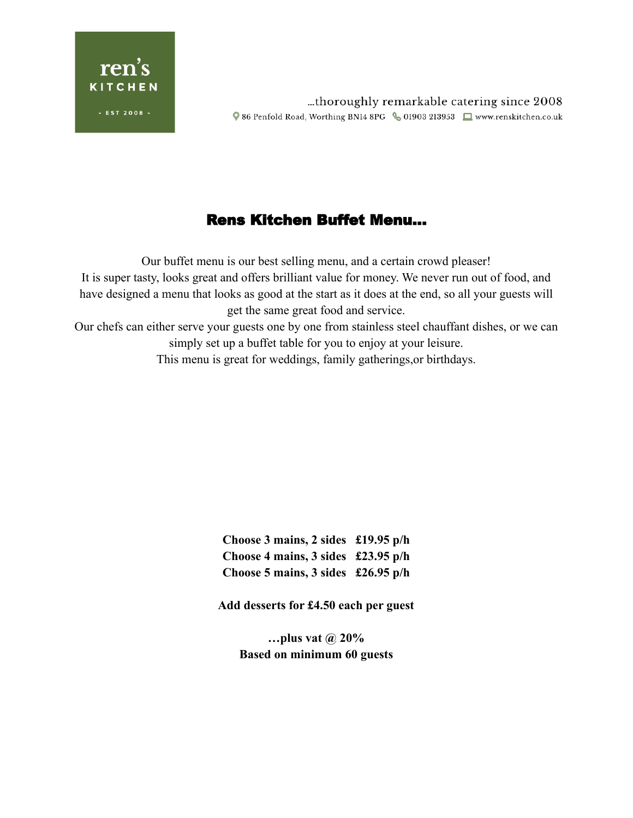

# Rens Kitchen Buffet Menu…

Our buffet menu is our best selling menu, and a certain crowd pleaser! It is super tasty, looks great and offers brilliant value for money. We never run out of food, and have designed a menu that looks as good at the start as it does at the end, so all your guests will get the same great food and service. Our chefs can either serve your guests one by one from stainless steel chauffant dishes, or we can simply set up a buffet table for you to enjoy at your leisure. This menu is great for weddings, family gatherings,or birthdays.

> **Choose 3 mains, 2 sides £19.95 p/h Choose 4 mains, 3 sides £23.95 p/h Choose 5 mains, 3 sides £26.95 p/h**

**Add desserts for £4.50 each per guest**

**…plus vat @ 20% Based on minimum 60 guests**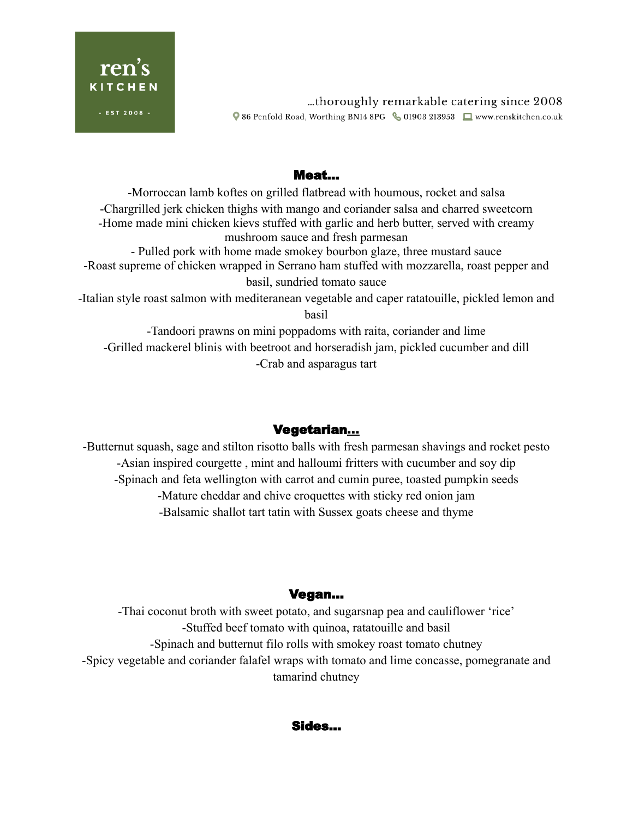

thoroughly remarkable catering since 2008... ♥ 86 Penfold Road, Worthing BN14 8PG & 01903 213953 ■ www.renskitchen.co.uk

#### Meat…

-Morroccan lamb koftes on grilled flatbread with houmous, rocket and salsa -Chargrilled jerk chicken thighs with mango and coriander salsa and charred sweetcorn -Home made mini chicken kievs stuffed with garlic and herb butter, served with creamy mushroom sauce and fresh parmesan - Pulled pork with home made smokey bourbon glaze, three mustard sauce -Roast supreme of chicken wrapped in Serrano ham stuffed with mozzarella, roast pepper and basil, sundried tomato sauce -Italian style roast salmon with mediteranean vegetable and caper ratatouille, pickled lemon and basil

-Tandoori prawns on mini poppadoms with raita, coriander and lime -Grilled mackerel blinis with beetroot and horseradish jam, pickled cucumber and dill -Crab and asparagus tart

## Vegetarian…

-Butternut squash, sage and stilton risotto balls with fresh parmesan shavings and rocket pesto -Asian inspired courgette , mint and halloumi fritters with cucumber and soy dip -Spinach and feta wellington with carrot and cumin puree, toasted pumpkin seeds -Mature cheddar and chive croquettes with sticky red onion jam -Balsamic shallot tart tatin with Sussex goats cheese and thyme

## Vegan…

-Thai coconut broth with sweet potato, and sugarsnap pea and cauliflower 'rice' -Stuffed beef tomato with quinoa, ratatouille and basil -Spinach and butternut filo rolls with smokey roast tomato chutney -Spicy vegetable and coriander falafel wraps with tomato and lime concasse, pomegranate and tamarind chutney

#### Sides…